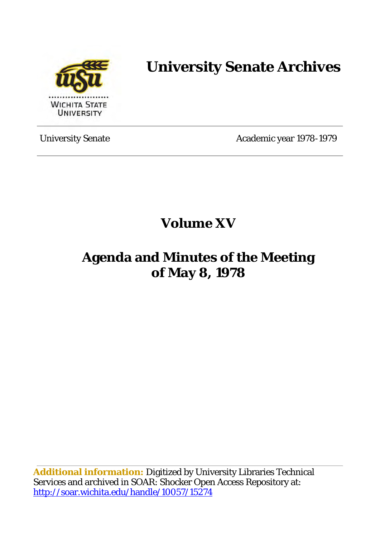

# **University Senate Archives**

University Senate Academic year 1978-1979

**Volume XV** 

## **Agenda and Minutes of the Meeting of May 8, 1978**

**Additional information:** Digitized by University Libraries Technical Services and archived in SOAR: Shocker Open Access Repository at: <http://soar.wichita.edu/handle/10057/15274>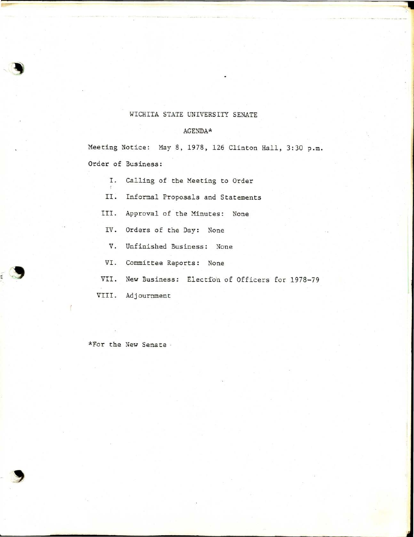## WICHITA STATE UNIVERSITY SENATE

## $\text{AGENDA} \star$

Meeting Notice: May 8, 1978, 126 Clinton Hall, 3:30 p.m. Order of Business:

- I. Calling of the Meeting to Order
- II. Informal Proposals and Statements
- III. Approval of the Minutes: None
	- IV. Orders of the Day: None
	- V. Unfinished Business: None
	- VI. Committee Reports: None
- VII. New Business: Election of Officers for 1978-79

VIII. Adjournment

\*For the New Senate ·